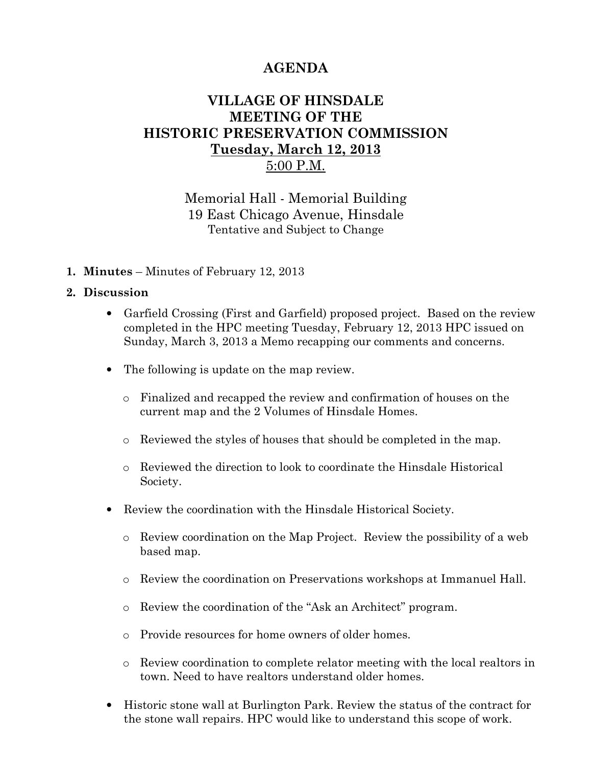## AGENDA

## VILLAGE OF HINSDALE MEETING OF THE HISTORIC PRESERVATION COMMISSION Tuesday, March 12, 2013 5:00 P.M.

Memorial Hall - Memorial Building 19 East Chicago Avenue, Hinsdale Tentative and Subject to Change

1. Minutes – Minutes of February 12, 2013

## 2. Discussion

- Garfield Crossing (First and Garfield) proposed project. Based on the review completed in the HPC meeting Tuesday, February 12, 2013 HPC issued on Sunday, March 3, 2013 a Memo recapping our comments and concerns.
- The following is update on the map review.
	- o Finalized and recapped the review and confirmation of houses on the current map and the 2 Volumes of Hinsdale Homes.
	- o Reviewed the styles of houses that should be completed in the map.
	- o Reviewed the direction to look to coordinate the Hinsdale Historical Society.
- Review the coordination with the Hinsdale Historical Society.
	- o Review coordination on the Map Project. Review the possibility of a web based map.
	- o Review the coordination on Preservations workshops at Immanuel Hall.
	- o Review the coordination of the "Ask an Architect" program.
	- o Provide resources for home owners of older homes.
	- o Review coordination to complete relator meeting with the local realtors in town. Need to have realtors understand older homes.
- Historic stone wall at Burlington Park. Review the status of the contract for the stone wall repairs. HPC would like to understand this scope of work.